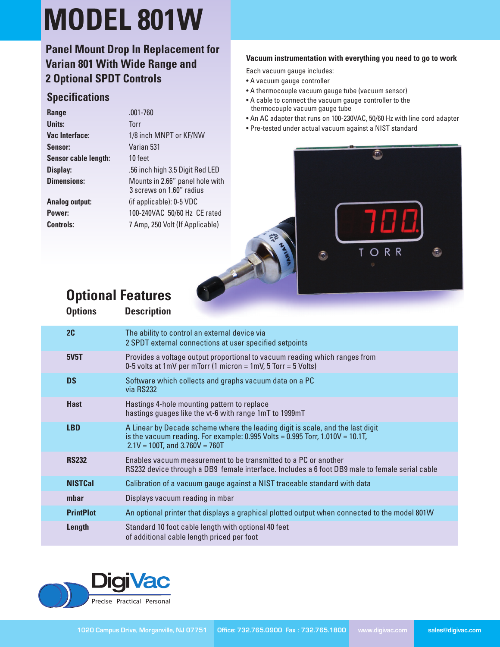# **MODEL 801W**

### **Panel Mount Drop In Replacement for Varian 801 With Wide Range and 2 Optional SPDT Controls**

#### **Specifications**

| Range                 | $.001 - 760$                                                |
|-----------------------|-------------------------------------------------------------|
| Units:                | <b>Torr</b>                                                 |
| Vac Interface:        | 1/8 inch MNPT or KF/NW                                      |
| Sensor:               | Varian 531                                                  |
| Sensor cable length:  | 10 feet                                                     |
| Display:              | .56 inch high 3.5 Digit Red LED                             |
| <b>Dimensions:</b>    | Mounts in 2.66" panel hole with<br>3 screws on 1.60" radius |
| <b>Analog output:</b> | (if applicable): 0-5 VDC                                    |
| Power:                | 100-240VAC 50/60 Hz CE rated                                |
| <b>Controls:</b>      | 7 Amp, 250 Volt (If Applicable)                             |
|                       |                                                             |

#### **Vacuum instrumentation with everything you need to go to work**

Each vacuum gauge includes:

- A vacuum gauge controller
- A thermocouple vacuum gauge tube (vacuum sensor)
- A cable to connect the vacuum gauge controller to the thermocouple vacuum gauge tube
- An AC adapter that runs on 100-230VAC, 50/60 Hz with line cord adapter
- Pre-tested under actual vacuum against a NIST standard



## **Optional Features**

| <b>Options</b>   | <b>Description</b>                                                                                                                                                                                        |
|------------------|-----------------------------------------------------------------------------------------------------------------------------------------------------------------------------------------------------------|
| 2C               | The ability to control an external device via<br>2 SPDT external connections at user specified setpoints                                                                                                  |
| <b>5V5T</b>      | Provides a voltage output proportional to vacuum reading which ranges from<br>0-5 volts at 1mV per mTorr (1 micron = 1mV, 5 Torr = 5 Volts)                                                               |
| <b>DS</b>        | Software which collects and graphs vacuum data on a PC<br>via RS232                                                                                                                                       |
| <b>Hast</b>      | Hastings 4-hole mounting pattern to replace<br>hastings guages like the vt-6 with range 1mT to 1999mT                                                                                                     |
| <b>LBD</b>       | A Linear by Decade scheme where the leading digit is scale, and the last digit<br>is the vacuum reading. For example: 0.995 Volts = 0.995 Torr, $1.010V = 10.1T$ ,<br>$2.1V = 100T$ , and $3.760V = 760T$ |
| <b>RS232</b>     | Enables vacuum measurement to be transmitted to a PC or another<br>RS232 device through a DB9 female interface. Includes a 6 foot DB9 male to female serial cable                                         |
| <b>NISTCal</b>   | Calibration of a vacuum gauge against a NIST traceable standard with data                                                                                                                                 |
| mbar             | Displays vacuum reading in mbar                                                                                                                                                                           |
| <b>PrintPlot</b> | An optional printer that displays a graphical plotted output when connected to the model 801W                                                                                                             |
| Length           | Standard 10 foot cable length with optional 40 feet<br>of additional cable length priced per foot                                                                                                         |